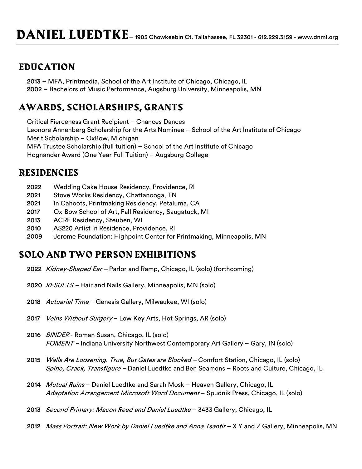## **EDUCATION**

2013 – MFA, Printmedia, School of the Art Institute of Chicago, Chicago, IL 2002 – Bachelors of Music Performance, Augsburg University, Minneapolis, MN

# **AWARDS, SCHOLARSHIPS, GRANTS**

Critical Fierceness Grant Recipient – Chances Dances Leonore Annenberg Scholarship for the Arts Nominee – School of the Art Institute of Chicago Merit Scholarship – OxBow, Michigan MFA Trustee Scholarship (full tuition) – School of the Art Institute of Chicago Hognander Award (One Year Full Tuition) – Augsburg College

## **RESIDENCIES**

- 2022 Wedding Cake House Residency, Providence, RI
- 2021 Stove Works Residency, Chattanooga, TN
- 2021 In Cahoots, Printmaking Residency, Petaluma, CA
- 2017 Ox-Bow School of Art, Fall Residency, Saugatuck, MI
- 2013 ACRE Residency, Steuben, WI
- 2010 AS220 Artist in Residence, Providence, RI
- 2009 Jerome Foundation: Highpoint Center for Printmaking, Minneapolis, MN

### **SOLO AND TWO PERSON EXHIBITIONS**

- 2022 *Kidney-Shaped Ear –* Parlor and Ramp, Chicago, IL (solo) (forthcoming)
- 2020 RESULTS Hair and Nails Gallery, Minneapolis, MN (solo)
- 2018 Actuarial Time Genesis Gallery, Milwaukee, WI (solo)
- 2017 Veins Without Surgery Low Key Arts, Hot Springs, AR (solo)
- 2016 BINDER Roman Susan, Chicago, IL (solo) FOMENT – Indiana University Northwest Contemporary Art Gallery – Gary, IN (solo)
- 2015 *Walls Are Loosening. True, But Gates are Blocked –* Comfort Station, Chicago, IL (solo) Spine, Crack, Transfigure - Daniel Luedtke and Ben Seamons - Roots and Culture, Chicago, IL
- 2014 Mutual Ruins Daniel Luedtke and Sarah Mosk Heaven Gallery, Chicago, IL Adaptation Arrangement Microsoft Word Document - Spudnik Press, Chicago, IL (solo)
- 2013 Second Primary: Macon Reed and Daniel Luedtke 3433 Gallery, Chicago, IL
- 2012 Mass Portrait: New Work by Daniel Luedtke and Anna Tsantir X Y and Z Gallery, Minneapolis, MN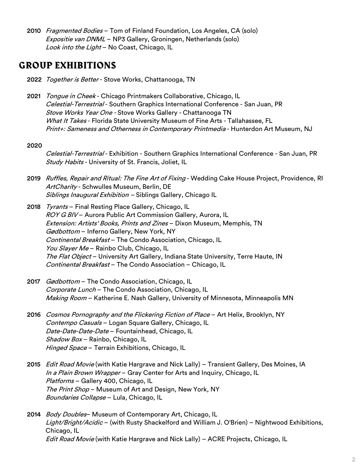2010 *Fragmented Bodies* – Tom of Finland Foundation, Los Angeles, CA (solo) Expositie van DNML – NP3 Gallery, Groningen, Netherlands (solo) Look into the Light - No Coast, Chicago, IL

#### **GROUP EXHIBITIONS**

- 2022 Together is Better Stove Works, Chattanooga, TN
- 2021 *Tongue in Cheek* Chicago Printmakers Collaborative, Chicago, IL Celestial-Terrestrial - Southern Graphics International Conference - San Juan, PR Stove Works Year One - Stove Works Gallery - Chattanooga TN What It Takes - Florida State University Museum of Fine Arts - Tallahassee, FL Print+: Sameness and Otherness in Contemporary Printmedia - Hunterdon Art Museum, NJ

#### 2020

Celestial-Terrestrial - Exhibition - Southern Graphics International Conference - San Juan, PR Study Habits - University of St. Francis, Joliet, IL

- 2019 Ruffles, Repair and Ritual: The Fine Art of Fixing Wedding Cake House Project, Providence, RI ArtCharity - Schwulles Museum, Berlin, DE Siblings Inaugural Exhibition - Siblings Gallery, Chicago IL
- 2018 Tyrants Final Resting Place Gallery, Chicago, IL ROY G BIV - Aurora Public Art Commission Gallery, Aurora, IL Extension: Artists' Books, Prints and Zines – Dixon Museum, Memphis, TN Gødbottom – Inferno Gallery, New York, NY Continental Breakfast – The Condo Association, Chicago, IL You Slayer Me - Rainbo Club, Chicago, IL The Flat Object - University Art Gallery, Indiana State University, Terre Haute, IN Continental Breakfast – The Condo Association – Chicago, IL
- 2017 Gødbottom The Condo Association, Chicago, IL Corporate Lunch – The Condo Association, Chicago, IL Making Room - Katherine E. Nash Gallery, University of Minnesota, Minneapolis MN
- 2016 Cosmos Pornography and the Flickering Fiction of Place Art Helix, Brooklyn, NY Contempo Casuals – Logan Square Gallery, Chicago, IL Date-Date-Date-Date - Fountainhead, Chicago, IL Shadow Box - Rainbo, Chicago, IL Hinged Space - Terrain Exhibitions, Chicago, IL
- 2015 *Edit Road Movie* (with Katie Hargrave and Nick Lally) Transient Gallery, Des Moines, IA In a Plain Brown Wrapper - Gray Center for Arts and Inquiry, Chicago, IL Platforms - Gallery 400, Chicago, IL The Print Shop - Museum of Art and Design, New York, NY Boundaries Collapse - Lula, Chicago, IL
- 2014 *Body Doubles* Museum of Contemporary Art, Chicago, IL Light/Bright/Acidic – (with Rusty Shackelford and William J. O'Brien) – Nightwood Exhibitions, Chicago, IL Edit Road Movie (with Katie Hargrave and Nick Lally) – ACRE Projects, Chicago, IL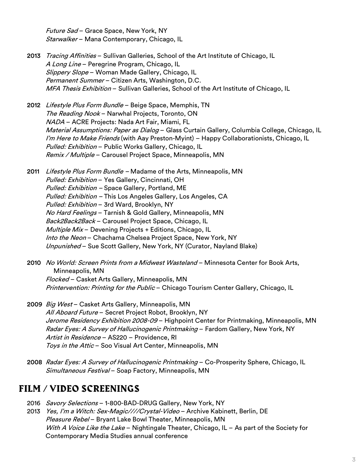Future Sad - Grace Space, New York, NY Starwalker - Mana Contemporary, Chicago, IL

- 2013 *Tracing Affinities* Sullivan Galleries, School of the Art Institute of Chicago, IL A Long Line – Peregrine Program, Chicago, IL Slippery Slope - Woman Made Gallery, Chicago, IL Permanent Summer - Citizen Arts, Washington, D.C. MFA Thesis Exhibition – Sullivan Galleries, School of the Art Institute of Chicago, IL
- 2012 Lifestyle Plus Form Bundle Beige Space, Memphis, TN The Reading Nook - Narwhal Projects, Toronto, ON NADA – ACRE Projects: Nada Art Fair, Miami, FL Material Assumptions: Paper as Dialog - Glass Curtain Gallery, Columbia College, Chicago, IL I'm Here to Make Friends (with Aay Preston-Myint) – Happy Collaborationists, Chicago, IL Pulled: Exhibition - Public Works Gallery, Chicago, IL Remix / Multiple - Carousel Project Space, Minneapolis, MN

2011 Lifestyle Plus Form Bundle – Madame of the Arts, Minneapolis, MN Pulled: Exhibition – Yes Gallery, Cincinnati, OH Pulled: Exhibition - Space Gallery, Portland, ME Pulled: Exhibition – This Los Angeles Gallery, Los Angeles, CA Pulled: Exhibition - 3rd Ward, Brooklyn, NY No Hard Feelings - Tarnish & Gold Gallery, Minneapolis, MN Back2Back2Back - Carousel Project Space, Chicago, IL *Multiple Mix* – Devening Projects + Editions, Chicago, IL Into the Neon - Chachama Chelsea Project Space, New York, NY Unpunished - Sue Scott Gallery, New York, NY (Curator, Nayland Blake)

- 2010 No World: Screen Prints from a Midwest Wasteland Minnesota Center for Book Arts, Minneapolis, MN Flocked – Casket Arts Gallery, Minneapolis, MN Printervention: Printing for the Public – Chicago Tourism Center Gallery, Chicago, IL
- 2009 Big West Casket Arts Gallery, Minneapolis, MN All Aboard Future - Secret Project Robot, Brooklyn, NY Jerome Residency Exhibition 2008-09 - Highpoint Center for Printmaking, Minneapolis, MN Radar Eyes: A Survey of Hallucinogenic Printmaking - Fardom Gallery, New York, NY Artist in Residence - AS220 - Providence, RI Toys in the Attic - Soo Visual Art Center, Minneapolis, MN
- 2008 Radar Eyes: A Survey of Hallucinogenic Printmaking Co-Prosperity Sphere, Chicago, IL Simultaneous Festival – Soap Factory, Minneapolis, MN

## **FILM / VIDEO SCREENINGS**

- 2016 Savory Selections 1-800-BAD-DRUG Gallery, New York, NY
- 2013 *Yes, I'm a Witch: Sex-Magic////Crystal-Video* Archive Kabinett, Berlin, DE Pleasure Rebel - Bryant Lake Bowl Theater, Minneapolis, MN With A Voice Like the Lake – Nightingale Theater, Chicago, IL – As part of the Society for Contemporary Media Studies annual conference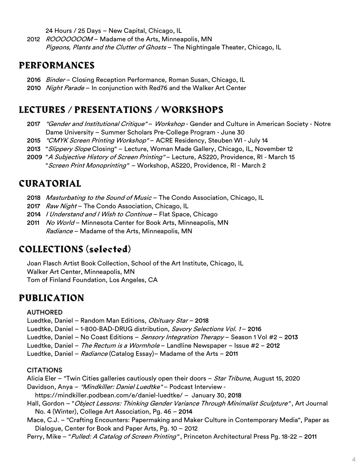24 Hours / 25 Days – New Capital, Chicago, IL

2012 ROOOOOOOM - Madame of the Arts, Minneapolis, MN Pigeons, Plants and the Clutter of Ghosts - The Nightingale Theater, Chicago, IL

#### **PERFORMANCES**

- 2016 Binder Closing Reception Performance, Roman Susan, Chicago, IL
- 2010 Night Parade In conjunction with Red76 and the Walker Art Center

### **LECTURES / PRESENTATIONS / WORKSHOPS**

- 2017 "Gender and Institutional Critique" Workshop Gender and Culture in American Society Notre Dame University – Summer Scholars Pre-College Program - June 30
- 2015 *"CMYK Screen Printing Workshop"* ACRE Residency, Steuben WI July 14
- 2013 "Slippery Slope Closing" Lecture, Woman Made Gallery, Chicago, IL, November 12
- 2009 "A Subjective History of Screen Printing" Lecture, AS220, Providence, RI March 15 "Screen Print Monoprinting" - Workshop, AS220, Providence, RI - March 2

## **CURATORIAL**

- 2018 Masturbating to the Sound of Music The Condo Association, Chicago, IL
- 2017 Raw Night The Condo Association, Chicago, IL
- 2014 / Understand and I Wish to Continue Flat Space, Chicago
- 2011 No World Minnesota Center for Book Arts, Minneapolis, MN Radiance – Madame of the Arts, Minneapolis, MN

### **COLLECTIONS (selected)**

Joan Flasch Artist Book Collection, School of the Art Institute, Chicago, IL Walker Art Center, Minneapolis, MN Tom of Finland Foundation, Los Angeles, CA

### **PUBLICATION**

#### AUTHORED

Luedtke, Daniel - Random Man Editions, Obituary Star - 2018

Luedtke, Daniel - 1-800-BAD-DRUG distribution, Savory Selections Vol. 1-2016

Luedtke, Daniel – No Coast Editions – *Sensory Integration Therapy* – Season 1 Vol #2 – 2013

- Luedtke, Daniel The Rectum is a Wormhole Landline Newspaper Issue #2 2012
- Luedtke, Daniel Radiance (Catalog Essay) Madame of the Arts 2011

#### **CITATIONS**

Alicia Eler – "Twin Cities galleries cautiously open their doors – *Star Tribune*, August 15, 2020

Davidson, Anya - "Mindkiller: Daniel Luedtke" - Podcast Interview -

https://mindkiller.podbean.com/e/daniel-luedtke/ – January 30, 2018

- Hall, Gordon "Object Lessons: Thinking Gender Variance Through Minimalist Sculpture", Art Journal No. 4 (Winter), College Art Association, Pg. 46 – 2014
- Mace, C.J. "Crafting Encounters: Papermaking and Maker Culture in Contemporary Media", Paper as Dialogue, Center for Book and Paper Arts, Pg. 10 – 2012
- Perry, Mike "Pulled: A Catalog of Screen Printing", Princeton Architectural Press Pg. 18-22 2011